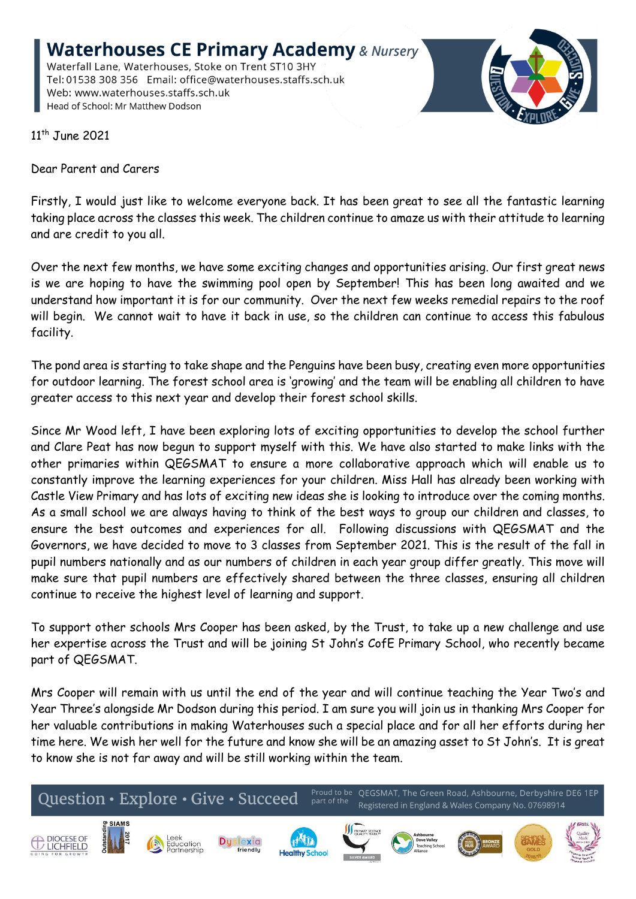**Waterhouses CE Primary Academy & Nursery** Waterfall Lane, Waterhouses, Stoke on Trent ST10 3HY Tel: 01538 308 356 Email: office@waterhouses.staffs.sch.uk Web: www.waterhouses.staffs.sch.uk Head of School: Mr Matthew Dodson



11<sup>th</sup> June 2021

Dear Parent and Carers

Firstly, I would just like to welcome everyone back. It has been great to see all the fantastic learning taking place across the classes this week. The children continue to amaze us with their attitude to learning and are credit to you all.

Over the next few months, we have some exciting changes and opportunities arising. Our first great news is we are hoping to have the swimming pool open by September! This has been long awaited and we understand how important it is for our community. Over the next few weeks remedial repairs to the roof will begin. We cannot wait to have it back in use, so the children can continue to access this fabulous facility.

The pond area is starting to take shape and the Penguins have been busy, creating even more opportunities for outdoor learning. The forest school area is 'growing' and the team will be enabling all children to have greater access to this next year and develop their forest school skills.

Since Mr Wood left, I have been exploring lots of exciting opportunities to develop the school further and Clare Peat has now begun to support myself with this. We have also started to make links with the other primaries within QEGSMAT to ensure a more collaborative approach which will enable us to constantly improve the learning experiences for your children. Miss Hall has already been working with Castle View Primary and has lots of exciting new ideas she is looking to introduce over the coming months. As a small school we are always having to think of the best ways to group our children and classes, to ensure the best outcomes and experiences for all. Following discussions with QEGSMAT and the Governors, we have decided to move to 3 classes from September 2021. This is the result of the fall in pupil numbers nationally and as our numbers of children in each year group differ greatly. This move will make sure that pupil numbers are effectively shared between the three classes, ensuring all children continue to receive the highest level of learning and support.

To support other schools Mrs Cooper has been asked, by the Trust, to take up a new challenge and use her expertise across the Trust and will be joining St John's CofE Primary School, who recently became part of QEGSMAT.

Mrs Cooper will remain with us until the end of the year and will continue teaching the Year Two's and Year Three's alongside Mr Dodson during this period. I am sure you will join us in thanking Mrs Cooper for her valuable contributions in making Waterhouses such a special place and for all her efforts during her time here. We wish her well for the future and know she will be an amazing asset to St John's. It is great to know she is not far away and will be still working within the team.